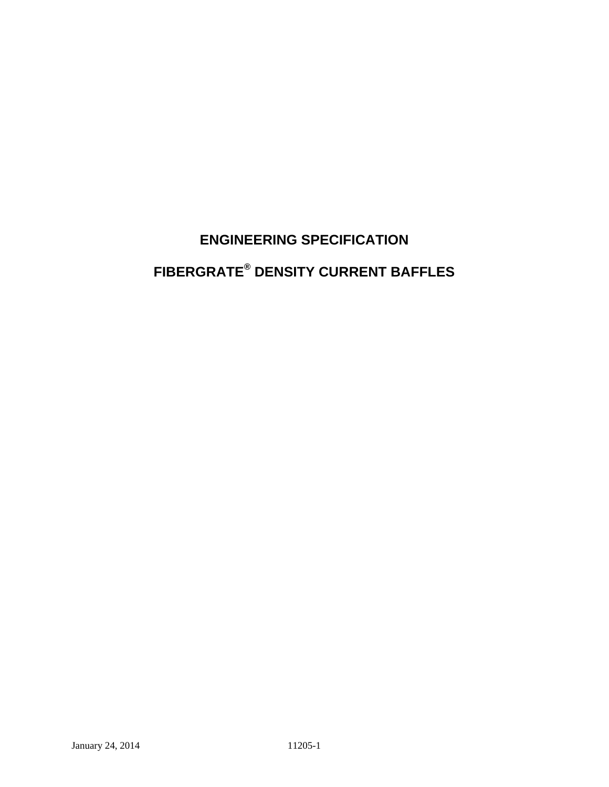# **ENGINEERING SPECIFICATION FIBERGRATE® DENSITY CURRENT BAFFLES**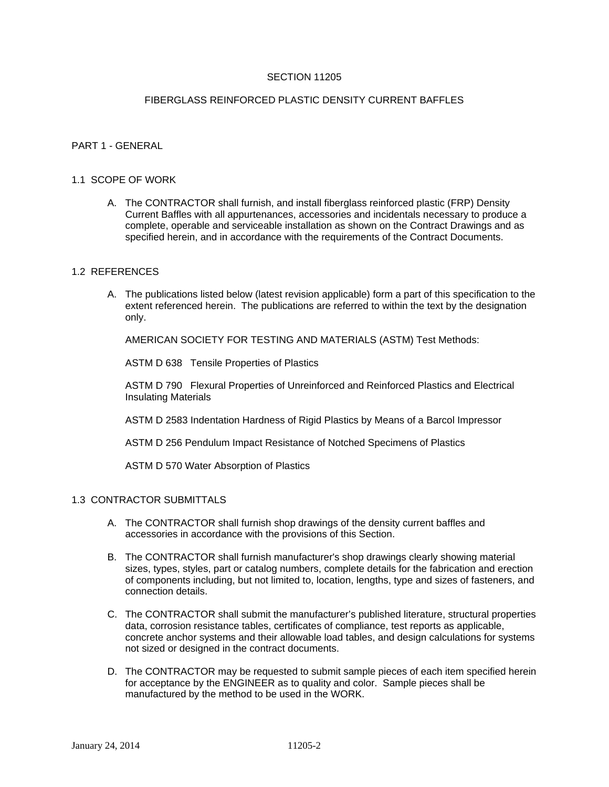## SECTION 11205

## FIBERGLASS REINFORCED PLASTIC DENSITY CURRENT BAFFLES

## PART 1 - GENERAL

## 1.1 SCOPE OF WORK

A. The CONTRACTOR shall furnish, and install fiberglass reinforced plastic (FRP) Density Current Baffles with all appurtenances, accessories and incidentals necessary to produce a complete, operable and serviceable installation as shown on the Contract Drawings and as specified herein, and in accordance with the requirements of the Contract Documents.

## 1.2 REFERENCES

A. The publications listed below (latest revision applicable) form a part of this specification to the extent referenced herein. The publications are referred to within the text by the designation only.

AMERICAN SOCIETY FOR TESTING AND MATERIALS (ASTM) Test Methods:

ASTM D 638 Tensile Properties of Plastics

ASTM D 790 Flexural Properties of Unreinforced and Reinforced Plastics and Electrical Insulating Materials

ASTM D 2583 Indentation Hardness of Rigid Plastics by Means of a Barcol Impressor

ASTM D 256 Pendulum Impact Resistance of Notched Specimens of Plastics

ASTM D 570 Water Absorption of Plastics

## 1.3 CONTRACTOR SUBMITTALS

- A. The CONTRACTOR shall furnish shop drawings of the density current baffles and accessories in accordance with the provisions of this Section.
- B. The CONTRACTOR shall furnish manufacturer's shop drawings clearly showing material sizes, types, styles, part or catalog numbers, complete details for the fabrication and erection of components including, but not limited to, location, lengths, type and sizes of fasteners, and connection details.
- C. The CONTRACTOR shall submit the manufacturer's published literature, structural properties data, corrosion resistance tables, certificates of compliance, test reports as applicable, concrete anchor systems and their allowable load tables, and design calculations for systems not sized or designed in the contract documents.
- D. The CONTRACTOR may be requested to submit sample pieces of each item specified herein for acceptance by the ENGINEER as to quality and color. Sample pieces shall be manufactured by the method to be used in the WORK.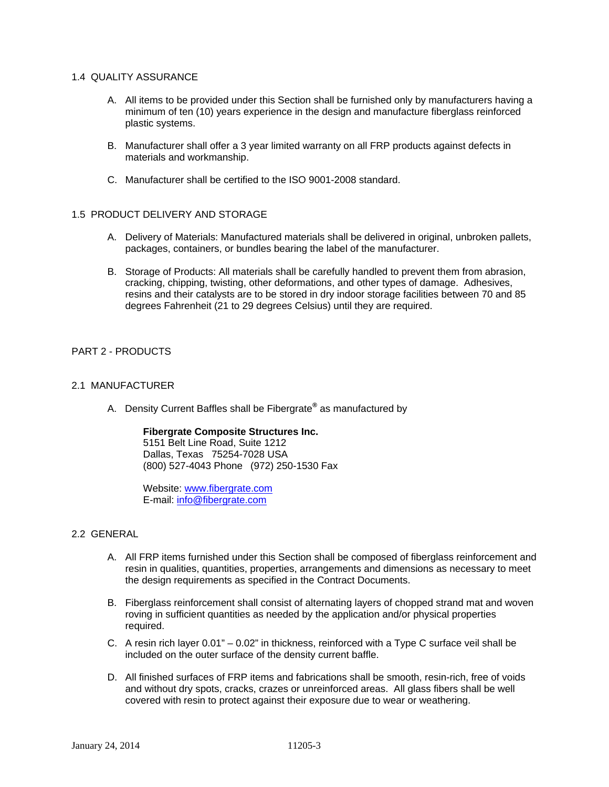## 1.4 QUALITY ASSURANCE

- A. All items to be provided under this Section shall be furnished only by manufacturers having a minimum of ten (10) years experience in the design and manufacture fiberglass reinforced plastic systems.
- B. Manufacturer shall offer a 3 year limited warranty on all FRP products against defects in materials and workmanship.
- C. Manufacturer shall be certified to the ISO 9001-2008 standard.

## 1.5 PRODUCT DELIVERY AND STORAGE

- A. Delivery of Materials: Manufactured materials shall be delivered in original, unbroken pallets, packages, containers, or bundles bearing the label of the manufacturer.
- B. Storage of Products: All materials shall be carefully handled to prevent them from abrasion, cracking, chipping, twisting, other deformations, and other types of damage. Adhesives, resins and their catalysts are to be stored in dry indoor storage facilities between 70 and 85 degrees Fahrenheit (21 to 29 degrees Celsius) until they are required.

# PART 2 - PRODUCTS

## 2.1 MANUFACTURER

A. Density Current Baffles shall be Fibergrate**®** as manufactured by

## **Fibergrate Composite Structures Inc.**

5151 Belt Line Road, Suite 1212 Dallas, Texas 75254-7028 USA (800) 527-4043 Phone (972) 250-1530 Fax

Website: www.fibergrate.com E-mail: info@fibergrate.com

## 2.2 GENERAL

- A. All FRP items furnished under this Section shall be composed of fiberglass reinforcement and resin in qualities, quantities, properties, arrangements and dimensions as necessary to meet the design requirements as specified in the Contract Documents.
- B. Fiberglass reinforcement shall consist of alternating layers of chopped strand mat and woven roving in sufficient quantities as needed by the application and/or physical properties required.
- C. A resin rich layer 0.01" 0.02" in thickness, reinforced with a Type C surface veil shall be included on the outer surface of the density current baffle.
- D. All finished surfaces of FRP items and fabrications shall be smooth, resin-rich, free of voids and without dry spots, cracks, crazes or unreinforced areas. All glass fibers shall be well covered with resin to protect against their exposure due to wear or weathering.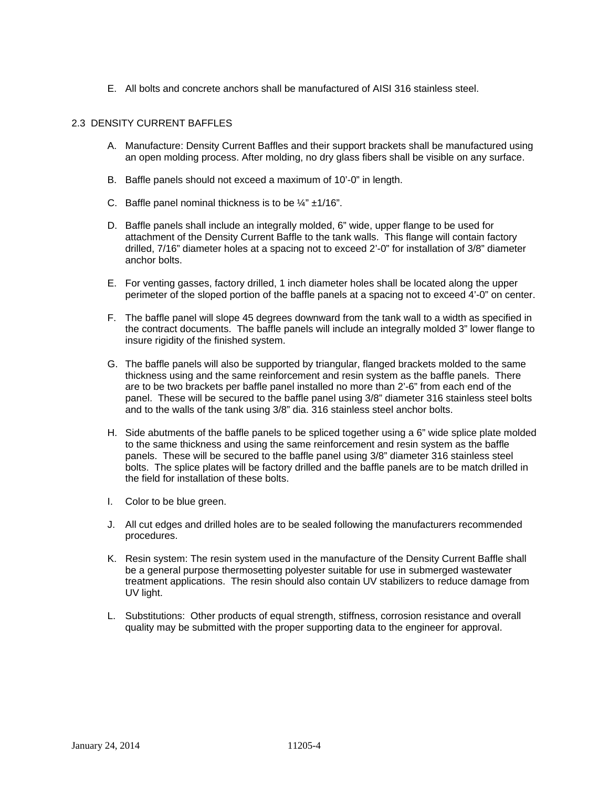E. All bolts and concrete anchors shall be manufactured of AISI 316 stainless steel.

## 2.3 DENSITY CURRENT BAFFLES

- A. Manufacture: Density Current Baffles and their support brackets shall be manufactured using an open molding process. After molding, no dry glass fibers shall be visible on any surface.
- B. Baffle panels should not exceed a maximum of 10'-0" in length.
- C. Baffle panel nominal thickness is to be  $\frac{1}{4}$ " ±1/16".
- D. Baffle panels shall include an integrally molded, 6" wide, upper flange to be used for attachment of the Density Current Baffle to the tank walls. This flange will contain factory drilled, 7/16" diameter holes at a spacing not to exceed 2'-0" for installation of 3/8" diameter anchor bolts.
- E. For venting gasses, factory drilled, 1 inch diameter holes shall be located along the upper perimeter of the sloped portion of the baffle panels at a spacing not to exceed 4'-0" on center.
- F. The baffle panel will slope 45 degrees downward from the tank wall to a width as specified in the contract documents. The baffle panels will include an integrally molded 3" lower flange to insure rigidity of the finished system.
- G. The baffle panels will also be supported by triangular, flanged brackets molded to the same thickness using and the same reinforcement and resin system as the baffle panels. There are to be two brackets per baffle panel installed no more than 2'-6" from each end of the panel. These will be secured to the baffle panel using 3/8" diameter 316 stainless steel bolts and to the walls of the tank using 3/8" dia. 316 stainless steel anchor bolts.
- H. Side abutments of the baffle panels to be spliced together using a 6" wide splice plate molded to the same thickness and using the same reinforcement and resin system as the baffle panels. These will be secured to the baffle panel using 3/8" diameter 316 stainless steel bolts. The splice plates will be factory drilled and the baffle panels are to be match drilled in the field for installation of these bolts.
- I. Color to be blue green.
- J. All cut edges and drilled holes are to be sealed following the manufacturers recommended procedures.
- K. Resin system: The resin system used in the manufacture of the Density Current Baffle shall be a general purpose thermosetting polyester suitable for use in submerged wastewater treatment applications. The resin should also contain UV stabilizers to reduce damage from UV light.
- L. Substitutions: Other products of equal strength, stiffness, corrosion resistance and overall quality may be submitted with the proper supporting data to the engineer for approval.